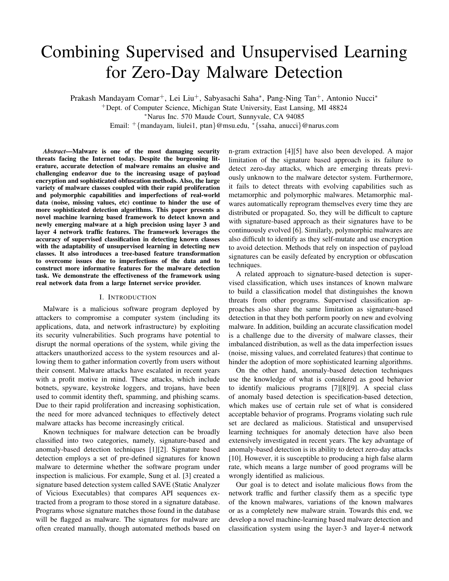# Combining Supervised and Unsupervised Learning for Zero-Day Malware Detection

Prakash Mandayam Comar+, Lei Liu+, Sabyasachi Saha*<sup>∗</sup>* , Pang-Ning Tan+, Antonio Nucci*<sup>∗</sup>* <sup>+</sup>Dept. of Computer Science, Michigan State University, East Lansing, MI 48824 *<sup>∗</sup>*Narus Inc. 570 Maude Court, Sunnyvale, CA 94085

Email: <sup>+</sup>*{*mandayam, liulei1, ptan*}*@msu.edu, *<sup>∗</sup>{*ssaha, anucci*}*@narus.com

*Abstract*—Malware is one of the most damaging security threats facing the Internet today. Despite the burgeoning literature, accurate detection of malware remains an elusive and challenging endeavor due to the increasing usage of payload encryption and sophisticated obfuscation methods. Also, the large variety of malware classes coupled with their rapid proliferation and polymorphic capabilities and imperfections of real-world data (noise, missing values, etc) continue to hinder the use of more sophisticated detection algorithms. This paper presents a novel machine learning based framework to detect known and newly emerging malware at a high precision using layer 3 and layer 4 network traffic features. The framework leverages the accuracy of supervised classification in detecting known classes with the adaptability of unsupervised learning in detecting new classes. It also introduces a tree-based feature transformation to overcome issues due to imperfections of the data and to construct more informative features for the malware detection task. We demonstrate the effectiveness of the framework using real network data from a large Internet service provider.

#### I. INTRODUCTION

Malware is a malicious software program deployed by attackers to compromise a computer system (including its applications, data, and network infrastructure) by exploiting its security vulnerabilities. Such programs have potential to disrupt the normal operations of the system, while giving the attackers unauthorized access to the system resources and allowing them to gather information covertly from users without their consent. Malware attacks have escalated in recent years with a profit motive in mind. These attacks, which include botnets, spyware, keystroke loggers, and trojans, have been used to commit identity theft, spamming, and phishing scams. Due to their rapid proliferation and increasing sophistication, the need for more advanced techniques to effectively detect malware attacks has become increasingly critical.

Known techniques for malware detection can be broadly classified into two categories, namely, signature-based and anomaly-based detection techniques [1][2]. Signature based detection employs a set of pre-defined signatures for known malware to determine whether the software program under inspection is malicious. For example, Sung et al. [3] created a signature based detection system called SAVE (Static Analyzer of Vicious Executables) that compares API sequences extracted from a program to those stored in a signature database. Programs whose signature matches those found in the database will be flagged as malware. The signatures for malware are often created manually, though automated methods based on

n-gram extraction [4][5] have also been developed. A major limitation of the signature based approach is its failure to detect zero-day attacks, which are emerging threats previously unknown to the malware detector system. Furthermore, it fails to detect threats with evolving capabilities such as metamorphic and polymorphic malwares. Metamorphic malwares automatically reprogram themselves every time they are distributed or propagated. So, they will be difficult to capture with signature-based approach as their signatures have to be continuously evolved [6]. Similarly, polymorphic malwares are also difficult to identify as they self-mutate and use encryption to avoid detection. Methods that rely on inspection of payload signatures can be easily defeated by encryption or obfuscation techniques.

A related approach to signature-based detection is supervised classification, which uses instances of known malware to build a classification model that distinguishes the known threats from other programs. Supervised classification approaches also share the same limitation as signature-based detection in that they both perform poorly on new and evolving malware. In addition, building an accurate classification model is a challenge due to the diversity of malware classes, their imbalanced distribution, as well as the data imperfection issues (noise, missing values, and correlated features) that continue to hinder the adoption of more sophisticated learning algorithms.

On the other hand, anomaly-based detection techniques use the knowledge of what is considered as good behavior to identify malicious programs [7][8][9]. A special class of anomaly based detection is specification-based detection, which makes use of certain rule set of what is considered acceptable behavior of programs. Programs violating such rule set are declared as malicious. Statistical and unsupervised learning techniques for anomaly detection have also been extensively investigated in recent years. The key advantage of anomaly-based detection is its ability to detect zero-day attacks [10]. However, it is susceptible to producing a high false alarm rate, which means a large number of good programs will be wrongly identified as malicious.

Our goal is to detect and isolate malicious flows from the network traffic and further classify them as a specific type of the known malwares, variations of the known malwares or as a completely new malware strain. Towards this end, we develop a novel machine-learning based malware detection and classification system using the layer-3 and layer-4 network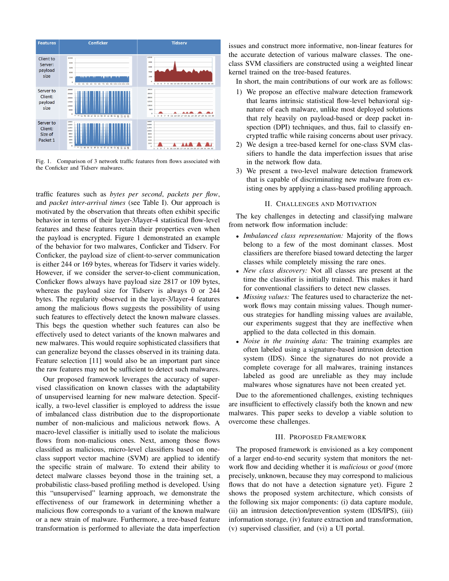

Fig. 1. Comparison of 3 network traffic features from flows associated with the Conficker and Tidserv malwares.

traffic features such as *bytes per second*, *packets per flow*, and *packet inter-arrival times* (see Table I). Our approach is motivated by the observation that threats often exhibit specific behavior in terms of their layer-3/layer-4 statistical flow-level features and these features retain their properties even when the payload is encrypted. Figure 1 demonstrated an example of the behavior for two malwares, Conficker and Tidserv. For Conficker, the payload size of client-to-server communication is either 244 or 169 bytes, whereas for Tidserv it varies widely. However, if we consider the server-to-client communication, Conficker flows always have payload size 2817 or 109 bytes, whereas the payload size for Tidserv is always 0 or 244 bytes. The regularity observed in the layer-3/layer-4 features among the malicious flows suggests the possibility of using such features to effectively detect the known malware classes. This begs the question whether such features can also be effectively used to detect variants of the known malwares and new malwares. This would require sophisticated classifiers that can generalize beyond the classes observed in its training data. Feature selection [11] would also be an important part since the raw features may not be sufficient to detect such malwares.

Our proposed framework leverages the accuracy of supervised classification on known classes with the adaptability of unsupervised learning for new malware detection. Specifically, a two-level classifier is employed to address the issue of imbalanced class distribution due to the disproportionate number of non-malicious and malicious network flows. A macro-level classifier is initially used to isolate the malicious flows from non-malicious ones. Next, among those flows classified as malicious, micro-level classifiers based on oneclass support vector machine (SVM) are applied to identify the specific strain of malware. To extend their ability to detect malware classes beyond those in the training set, a probabilistic class-based profiling method is developed. Using this "unsupervised" learning approach, we demonstrate the effectiveness of our framework in determining whether a malicious flow corresponds to a variant of the known malware or a new strain of malware. Furthermore, a tree-based feature transformation is performed to alleviate the data imperfection

issues and construct more informative, non-linear features for the accurate detection of various malware classes. The oneclass SVM classifiers are constructed using a weighted linear kernel trained on the tree-based features.

In short, the main contributions of our work are as follows:

- 1) We propose an effective malware detection framework that learns intrinsic statistical flow-level behavioral signature of each malware, unlike most deployed solutions that rely heavily on payload-based or deep packet inspection (DPI) techniques, and thus, fail to classify encrypted traffic while raising concerns about user privacy.
- 2) We design a tree-based kernel for one-class SVM classifiers to handle the data imperfection issues that arise in the network flow data.
- 3) We present a two-level malware detection framework that is capable of discriminating new malware from existing ones by applying a class-based profiling approach.

#### II. CHALLENGES AND MOTIVATION

The key challenges in detecting and classifying malware from network flow information include:

- *• Imbalanced class representation:* Majority of the flows belong to a few of the most dominant classes. Most classifiers are therefore biased toward detecting the larger classes while completely missing the rare ones.
- *• New class discovery:* Not all classes are present at the time the classifier is initially trained. This makes it hard for conventional classifiers to detect new classes.
- *• Missing values:* The features used to characterize the network flows may contain missing values. Though numerous strategies for handling missing values are available, our experiments suggest that they are ineffective when applied to the data collected in this domain.
- *• Noise in the training data:* The training examples are often labeled using a signature-based intrusion detection system (IDS). Since the signatures do not provide a complete coverage for all malwares, training instances labeled as good are unreliable as they may include malwares whose signatures have not been created yet.

Due to the aforementioned challenges, existing techniques are insufficient to effectively classify both the known and new malwares. This paper seeks to develop a viable solution to overcome these challenges.

#### III. PROPOSED FRAMEWORK

The proposed framework is envisioned as a key component of a larger end-to-end security system that monitors the network flow and deciding whether it is *malicious* or *good* (more precisely, unknown, because they may correspond to malicious flows that do not have a detection signature yet). Figure 2 shows the proposed system architecture, which consists of the following six major components: (i) data capture module, (ii) an intrusion detection/prevention system (IDS/IPS), (iii) information storage, (iv) feature extraction and transformation, (v) supervised classifier, and (vi) a UI portal.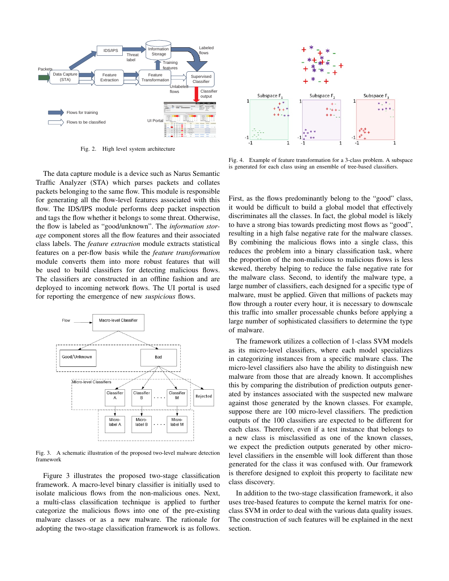

Fig. 2. High level system architecture

The data capture module is a device such as Narus Semantic Traffic Analyzer (STA) which parses packets and collates packets belonging to the same flow. This module is responsible for generating all the flow-level features associated with this flow. The IDS/IPS module performs deep packet inspection and tags the flow whether it belongs to some threat. Otherwise, the flow is labeled as "good/unknown". The *information storage* component stores all the flow features and their associated class labels. The *feature extraction* module extracts statistical features on a per-flow basis while the *feature transformation* module converts them into more robust features that will be used to build classifiers for detecting malicious flows. The classifiers are constructed in an offline fashion and are deployed to incoming network flows. The UI portal is used for reporting the emergence of new *suspicious* flows.



Fig. 3. A schematic illustration of the proposed two-level malware detection framework

Figure 3 illustrates the proposed two-stage classification framework. A macro-level binary classifier is initially used to isolate malicious flows from the non-malicious ones. Next, a multi-class classification technique is applied to further categorize the malicious flows into one of the pre-existing malware classes or as a new malware. The rationale for adopting the two-stage classification framework is as follows.



Fig. 4. Example of feature transformation for a 3-class problem. A subspace is generated for each class using an ensemble of tree-based classifiers.

First, as the flows predominantly belong to the "good" class, it would be difficult to build a global model that effectively discriminates all the classes. In fact, the global model is likely to have a strong bias towards predicting most flows as "good", resulting in a high false negative rate for the malware classes. By combining the malicious flows into a single class, this reduces the problem into a binary classification task, where the proportion of the non-malicious to malicious flows is less skewed, thereby helping to reduce the false negative rate for the malware class. Second, to identify the malware type, a large number of classifiers, each designed for a specific type of malware, must be applied. Given that millions of packets may flow through a router every hour, it is necessary to downscale this traffic into smaller processable chunks before applying a large number of sophisticated classifiers to determine the type of malware.

The framework utilizes a collection of 1-class SVM models as its micro-level classifiers, where each model specializes in categorizing instances from a specific malware class. The micro-level classifiers also have the ability to distinguish new malware from those that are already known. It accomplishes this by comparing the distribution of prediction outputs generated by instances associated with the suspected new malware against those generated by the known classes. For example, suppose there are 100 micro-level classifiers. The prediction outputs of the 100 classifiers are expected to be different for each class. Therefore, even if a test instance that belongs to a new class is misclassified as one of the known classes, we expect the prediction outputs generated by other microlevel classifiers in the ensemble will look different than those generated for the class it was confused with. Our framework is therefore designed to exploit this property to facilitate new class discovery.

In addition to the two-stage classification framework, it also uses tree-based features to compute the kernel matrix for oneclass SVM in order to deal with the various data quality issues. The construction of such features will be explained in the next section.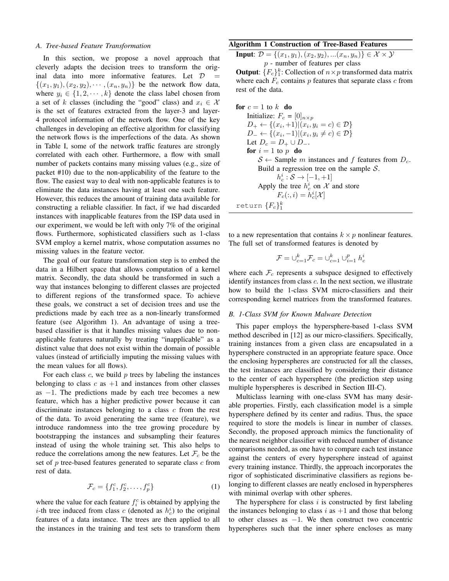#### *A. Tree-based Feature Transformation*

In this section, we propose a novel approach that cleverly adapts the decision trees to transform the original data into more informative features. Let  $D =$  $\{(x_1, y_1), (x_2, y_2), \cdots, (x_n, y_n)\}$  be the network flow data, where  $y_i \in \{1, 2, \dots, k\}$  denote the class label chosen from a set of *k* classes (including the "good" class) and  $x_i \in \mathcal{X}$ is the set of features extracted from the layer-3 and layer-4 protocol information of the network flow. One of the key challenges in developing an effective algorithm for classifying the network flows is the imperfections of the data. As shown in Table I, some of the network traffic features are strongly correlated with each other. Furthermore, a flow with small number of packets contains many missing values (e.g., size of packet #10) due to the non-applicability of the feature to the flow. The easiest way to deal with non-applicable features is to eliminate the data instances having at least one such feature. However, this reduces the amount of training data available for constructing a reliable classifier. In fact, if we had discarded instances with inapplicable features from the ISP data used in our experiment, we would be left with only 7% of the original flows. Furthermore, sophisticated classifiers such as 1-class SVM employ a kernel matrix, whose computation assumes no missing values in the feature vector.

The goal of our feature transformation step is to embed the data in a Hilbert space that allows computation of a kernel matrix. Secondly, the data should be transformed in such a way that instances belonging to different classes are projected to different regions of the transformed space. To achieve these goals, we construct a set of decision trees and use the predictions made by each tree as a non-linearly transformed feature (see Algorithm 1). An advantage of using a treebased classifier is that it handles missing values due to nonapplicable features naturally by treating "inapplicable" as a distinct value that does not exist within the domain of possible values (instead of artificially imputing the missing values with the mean values for all flows).

For each class *c*, we build *p* trees by labeling the instances belonging to class  $c$  as  $+1$  and instances from other classes as *−*1. The predictions made by each tree becomes a new feature, which has a higher predictive power because it can discriminate instances belonging to a class *c* from the rest of the data. To avoid generating the same tree (feature), we introduce randomness into the tree growing procedure by bootstrapping the instances and subsampling their features instead of using the whole training set. This also helps to reduce the correlations among the new features. Let  $\mathcal{F}_c$  be the set of *p* tree-based features generated to separate class *c* from rest of data.

$$
\mathcal{F}_c = \{f_1^c, f_2^c, \dots, f_p^c\} \tag{1}
$$

where the value for each feature  $f_i^c$  is obtained by applying the *i*-th tree induced from class *c* (denoted as  $h_c^i$ ) to the original features of a data instance. The trees are then applied to all the instances in the training and test sets to transform them

## Algorithm 1 Construction of Tree-Based Features

Input: *D* = *{*(*x*1*, y*1)*,*(*x*2*, y*2)*, ...*(*xn, yn*)*} ∈ X × Y p* - number of features per class

**Output:**  ${F_c}_1^k$ : Collection of  $n \times p$  transformed data matrix where each  $F_c$  contains  $p$  features that separate class  $c$  from rest of the data.

**for** 
$$
c = 1
$$
 to  $k$  **do**  
\n**Initialize:**  $F_c = [0]_{n \times p}$   
\n $D_+ \leftarrow \{(x_i, +1) | (x_i, y_i = c) \in \mathcal{D}\}$   
\n $D_- \leftarrow \{(x_i, -1) | (x_i, y_i \neq c) \in \mathcal{D}\}$   
\n**Let**  $D_c = D_+ \cup D_-$ .  
\n**for**  $i = 1$  to  $p$  **do**  
\n $S \leftarrow$  Sample  $m$  instances and  $f$  features from  $D_c$ .  
\n**Build a regression tree on the sample**  $S$ .  
\n $h_c^i : S \rightarrow [-1, +1]$   
\nApply the tree  $h_c^i$  on  $X$  and store  
\n $F_c(:,i) = h_c^i[X]$   
\n**return**  $\{F_c\}_1^k$ 

to a new representation that contains  $k \times p$  nonlinear features. The full set of transformed features is denoted by

$$
\mathcal{F} = \cup_{c=1}^k \mathcal{F}_c = \cup_{c=1}^k \cup_{i=1}^p h_c^i
$$

where each  $\mathcal{F}_c$  represents a subspace designed to effectively identify instances from class *c*. In the next section, we illustrate how to build the 1-class SVM micro-classifiers and their corresponding kernel matrices from the transformed features.

## *B. 1-Class SVM for Known Malware Detection*

This paper employs the hypersphere-based 1-class SVM method described in [12] as our micro-classifiers. Specifically, training instances from a given class are encapsulated in a hypersphere constructed in an appropriate feature space. Once the enclosing hyperspheres are constructed for all the classes, the test instances are classified by considering their distance to the center of each hypersphere (the prediction step using multiple hyperspheres is described in Section III-C).

Multiclass learning with one-class SVM has many desirable properties. Firstly, each classification model is a simple hypersphere defined by its center and radius. Thus, the space required to store the models is linear in number of classes. Secondly, the proposed approach mimics the functionality of the nearest neighbor classifier with reduced number of distance comparisons needed, as one have to compare each test instance against the centers of every hypersphere instead of against every training instance. Thirdly, the approach incorporates the rigor of sophisticated discriminative classifiers as regions belonging to different classes are neatly enclosed in hyperspheres with minimal overlap with other spheres.

The hypersphere for class *i* is constructed by first labeling the instances belonging to class  $i$  as  $+1$  and those that belong to other classes as *−*1. We then construct two concentric hyperspheres such that the inner sphere encloses as many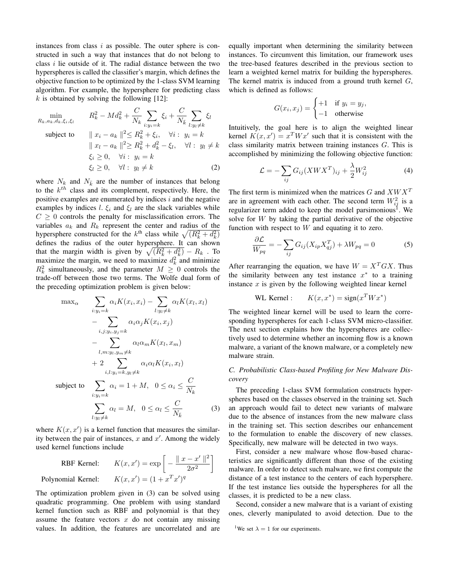instances from class *i* as possible. The outer sphere is constructed in such a way that instances that do not belong to class *i* lie outside of it. The radial distance between the two hyperspheres is called the classifier's margin, which defines the objective function to be optimized by the 1-class SVM learning algorithm. For example, the hypersphere for predicting class *k* is obtained by solving the following [12]:

$$
\min_{R_k, a_k, d_k, \xi_i, \xi_l} \qquad R_k^2 - Md_k^2 + \frac{C}{N_k} \sum_{i:y_i=k} \xi_i + \frac{C}{N_k} \sum_{l:y_l \neq k} \xi_l
$$
\n
$$
\text{subject to} \qquad \parallel x_i - a_k \parallel^2 \le R_k^2 + \xi_i, \quad \forall i: \ y_i = k
$$
\n
$$
\parallel x_l - a_k \parallel^2 \ge R_k^2 + d_k^2 - \xi_l, \quad \forall l: \ y_l \neq k
$$
\n
$$
\xi_i \ge 0, \quad \forall i: \ y_i = k
$$
\n
$$
\xi_l \ge 0, \quad \forall l: \ y_l \neq k
$$
\n(2)

where  $N_k$  and  $N_k$  are the number of instances that belong to the *k th* class and its complement, respectively. Here, the positive examples are enumerated by indices *i* and the negative examples by indices *l*.  $\xi_i$  and  $\xi_l$  are the slack variables while  $C \geq 0$  controls the penalty for misclassification errors. The variables  $a_k$  and  $R_k$  represent the center and radius of the hypersphere constructed for the *k*<sup>th</sup> class while  $\sqrt{(R_k^2 + d_k^2)}$ defines the radius of the outer hypersphere. It can shown that the margin width is given by  $\sqrt{(R_k^2 + d_k^2)} - R_k$ . To maximize the margin, we need to maximize  $d_k^2$  and minimize  $R_k^2$  simultaneously, and the parameter  $M \geq 0$  controls the trade-off between those two terms. The Wolfe dual form of the preceding optimization problem is given below:

$$
\max_{\alpha} \sum_{i:y_i=k} \alpha_i K(x_i, x_i) - \sum_{l:y_l \neq k} \alpha_l K(x_l, x_l)
$$
  
\n
$$
- \sum_{i,j:y_i,y_j=k} \alpha_i \alpha_j K(x_i, x_j)
$$
  
\n
$$
- \sum_{l,m:y_l,y_m \neq k} \alpha_l \alpha_m K(x_l, x_m)
$$
  
\n
$$
+ 2 \sum_{i,l:y_i=k,y_l \neq k} \alpha_i \alpha_l K(x_i, x_l)
$$
  
\nsubject to 
$$
\sum_{i:y_i=k} \alpha_i = 1 + M, \quad 0 \le \alpha_i \le \frac{C}{N_k}
$$
  
\n
$$
\sum_{l:y_l \neq k} \alpha_l = M, \quad 0 \le \alpha_l \le \frac{C}{N_k}
$$
 (3)

where  $K(x, x')$  is a kernel function that measures the similarity between the pair of instances, *x* and *x ′* . Among the widely used kernel functions include

RBF Kernel: 
$$
K(x, x') = \exp\left[-\frac{\|x - x'\|^2}{2\sigma^2}\right]
$$
  
Polynomial Kernel:  $K(x, x') = (1 + x^T x')^q$ 

The optimization problem given in (3) can be solved using quadratic programming. One problem with using standard kernel function such as RBF and polynomial is that they assume the feature vectors *x* do not contain any missing values. In addition, the features are uncorrelated and are

equally important when determining the similarity between instances. To circumvent this limitation, our framework uses the tree-based features described in the previous section to learn a weighted kernel matrix for building the hyperspheres. The kernel matrix is induced from a ground truth kernel *G*, which is defined as follows:

$$
G(x_i, x_j) = \begin{cases} +1 & \text{if } y_i = y_j, \\ -1 & \text{otherwise} \end{cases}
$$

Intuitively, the goal here is to align the weighted linear kernel  $K(x, x') = x^T W x'$  such that it is consistent with the class similarity matrix between training instances *G*. This is accomplished by minimizing the following objective function:

$$
\mathcal{L} = -\sum_{ij} G_{ij} (XWX^T)_{ij} + \frac{\lambda}{2} W_{ij}^2 \tag{4}
$$

The first term is minimized when the matrices *G* and *XW X<sup>T</sup>* are in agreement with each other. The second term  $W_{ij}^2$  is a regularizer term added to keep the model parsimonious<sup>1</sup>. We solve for *W* by taking the partial derivative of the objective function with respect to *W* and equating it to zero.

$$
\frac{\partial \mathcal{L}}{W_{pq}} = -\sum_{ij} G_{ij} (X_{ip} X_{qj}^T) + \lambda W_{pq} = 0
$$
\n(5)

After rearranging the equation, we have  $W = X<sup>T</sup> G X$ . Thus the similarity between any test instance  $x^*$  to a training instance *x* is given by the following weighted linear kernel

WL Kernel: 
$$
K(x, x^*) = sign(x^T W x^*)
$$

The weighted linear kernel will be used to learn the corresponding hyperspheres for each 1-class SVM micro-classifier. The next section explains how the hyperspheres are collectively used to determine whether an incoming flow is a known malware, a variant of the known malware, or a completely new malware strain.

# *C. Probabilistic Class-based Profiling for New Malware Discovery*

The preceding 1-class SVM formulation constructs hyperspheres based on the classes observed in the training set. Such an approach would fail to detect new variants of malware due to the absence of instances from the new malware class in the training set. This section describes our enhancement to the formulation to enable the discovery of new classes. Specifically, new malware will be detected in two ways.

First, consider a new malware whose flow-based characteristics are significantly different than those of the existing malware. In order to detect such malware, we first compute the distance of a test instance to the centers of each hypersphere. If the test instance lies outside the hyperspheres for all the classes, it is predicted to be a new class.

Second, consider a new malware that is a variant of existing ones, cleverly manipulated to avoid detection. Due to the

<sup>1</sup>We set  $\lambda = 1$  for our experiments.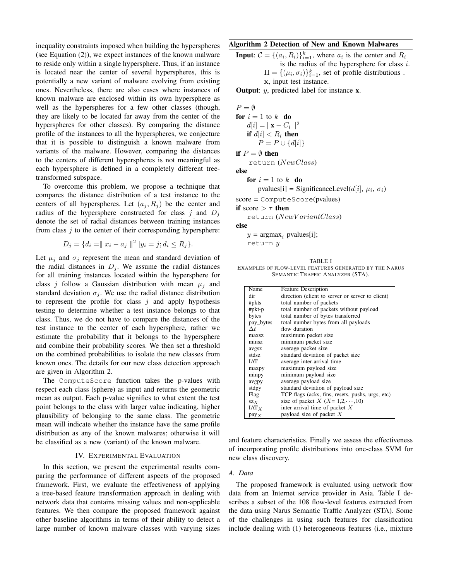inequality constraints imposed when building the hyperspheres (see Equation (2)), we expect instances of the known malware to reside only within a single hypersphere. Thus, if an instance is located near the center of several hyperspheres, this is potentially a new variant of malware evolving from existing ones. Nevertheless, there are also cases where instances of known malware are enclosed within its own hypersphere as well as the hyperspheres for a few other classes (though, they are likely to be located far away from the center of the hyperspheres for other classes). By comparing the distance profile of the instances to all the hyperspheres, we conjecture that it is possible to distinguish a known malware from variants of the malware. However, comparing the distances to the centers of different hyperspheres is not meaningful as each hypersphere is defined in a completely different treetransformed subspace.

To overcome this problem, we propose a technique that compares the distance distribution of a test instance to the centers of all hyperspheres. Let  $(a_i, R_i)$  be the center and radius of the hypersphere constructed for class  $j$  and  $D_j$ denote the set of radial distances between training instances from class *j* to the center of their corresponding hypersphere:

$$
D_j = \{ d_i = || x_i - a_j ||^2 || y_i = j; d_i \le R_j \}.
$$

Let  $\mu_j$  and  $\sigma_j$  represent the mean and standard deviation of the radial distances in  $D_j$ . We assume the radial distances for all training instances located within the hypersphere for class *j* follow a Gaussian distribution with mean  $\mu_i$  and standard deviation  $\sigma_j$ . We use the radial distance distribution to represent the profile for class *j* and apply hypothesis testing to determine whether a test instance belongs to that class. Thus, we do not have to compare the distances of the test instance to the center of each hypersphere, rather we estimate the probability that it belongs to the hypersphere and combine their probability scores. We then set a threshold on the combined probabilities to isolate the new classes from known ones. The details for our new class detection approach are given in Algorithm 2.

The ComputeScore function takes the p-values with respect each class (sphere) as input and returns the geometric mean as output. Each p-value signifies to what extent the test point belongs to the class with larger value indicating, higher plausibility of belonging to the same class. The geometric mean will indicate whether the instance have the same profile distribution as any of the known malwares; otherwise it will be classified as a new (variant) of the known malware.

## IV. EXPERIMENTAL EVALUATION

In this section, we present the experimental results comparing the performance of different aspects of the proposed framework. First, we evaluate the effectiveness of applying a tree-based feature transformation approach in dealing with network data that contains missing values and non-applicable features. We then compare the proposed framework against other baseline algorithms in terms of their ability to detect a large number of known malware classes with varying sizes

## Algorithm 2 Detection of New and Known Malwares

**Input:** 
$$
C = \{(a_i, R_i)\}_{i=1}^k
$$
, where  $a_i$  is the center and  $R_i$  is the radius of the hypersphere for class *i*.  
\n
$$
\Pi = \{(\mu_i, \sigma_i)\}_{i=1}^k
$$
, set of profile distributions.  
\nx, input test instance.

Output: *y*, predicted label for instance x.

 $P = \emptyset$ for  $i = 1$  to  $k$  do *d*[*i*] =*∥* x *− C<sup>i</sup> ∥* 2 if  $d[i] < R_i$  then *P* = *P* ∪ {*d*[*i*]} if  $P = \emptyset$  then return (*NewClass*) else for  $i = 1$  to  $k$  do  $p$ values[i] = SignificanceLevel( $d[i]$ ,  $\mu_i$ ,  $\sigma_i$ ) score = ComputeScore(pvalues) if score  $>$   $\tau$  then return (*NewV ariantClass*) else

 $y = \text{argmax}_i \text{pvalues}[i];$ 

return *y*

TABLE I EXAMPLES OF FLOW-LEVEL FEATURES GENERATED BY THE NARUS SEMANTIC TRAFFIC ANALYZER (STA).

| Name                               | <b>Feature Description</b>                       |
|------------------------------------|--------------------------------------------------|
| dir                                | direction (client to server or server to client) |
| #pkts                              | total number of packets                          |
| $#$ p $kt-p$                       | total number of packets without payload          |
| bytes                              | total number of bytes transferred                |
| pay_bytes                          | total number bytes from all payloads             |
| $\Delta t$                         | flow duration                                    |
| maxsz.                             | maximum packet size                              |
| minsz                              | minimum packet size                              |
| avgsz                              | average packet size                              |
| stdsz                              | standard deviation of packet size                |
| IAT                                | average inter-arrival time                       |
| maxpy                              | maximum payload size                             |
| minpy                              | minimum payload size                             |
| avgpy                              | average payload size                             |
| stdpy                              | standard deviation of payload size               |
| Flag                               | TCP flags (acks, fins, resets, pushs, urgs, etc) |
| $\mathbf{S} \mathbf{Z} \mathbf{X}$ | size of packet X $(X = 1, 2, \dots, 10)$         |
| $IAT_X$                            | inter arrival time of packet $X$                 |
| pay <sub>X</sub>                   | payload size of packet $X$                       |

and feature characteristics. Finally we assess the effectiveness of incorporating profile distributions into one-class SVM for new class discovery.

### *A. Data*

The proposed framework is evaluated using network flow data from an Internet service provider in Asia. Table I describes a subset of the 108 flow-level features extracted from the data using Narus Semantic Traffic Analyzer (STA). Some of the challenges in using such features for classification include dealing with (1) heterogeneous features (i.e., mixture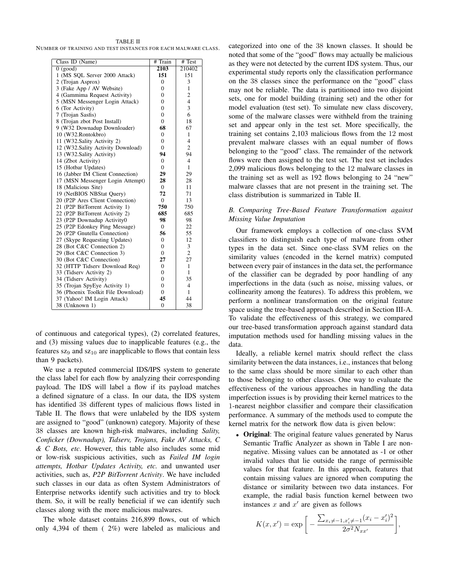TABLE II NUMBER OF TRAINING AND TEST INSTANCES FOR EACH MALWARE CLASS.

| Class ID (Name)                    | # Train        | # Test                   |
|------------------------------------|----------------|--------------------------|
| $0$ (good)                         | 2103           | 210402                   |
| 1 (MS SQL Server 2000 Attack)      | 151            | 151                      |
| 2 (Trojan Asprox)                  | $\mathbf{0}$   | 3                        |
| 3 (Fake App / AV Website)          | $\mathbf{0}$   | $\mathbf{1}$             |
| 4 (Gammima Request Activity)       | $\mathbf{0}$   | $\overline{c}$           |
| 5 (MSN Messenger Login Attack)     | $\theta$       | $\overline{\mathbf{4}}$  |
| 6 (Tor Activity)                   | $\Omega$       | 3                        |
| 7 (Trojan Sasfis)                  | $\mathbf{0}$   | 6                        |
| 8 (Trojan zbot Post Install)       | $\mathbf{0}$   | 18                       |
| 9 (W32 Downadup Downloader)        | 68             | 67                       |
| 10 (W32.Rontokbro)                 | $\mathbf{0}$   | $\mathbf{1}$             |
| 11 (W32.Sality Activity 2)         | $\Omega$       | $\overline{\mathcal{L}}$ |
| 12 (W32.Sality Activity Download)  | $\Omega$       | $\overline{2}$           |
| 13 (W32.Sality Activity)           | 94             | 94                       |
| 14 (Zbot Activity)                 | $\mathbf{0}$   | $\overline{4}$           |
| 15 (Hotbar Updates)                | $\mathbf{0}$   | $\mathbf{1}$             |
| 16 (Jabber IM Client Connection)   | 29             | 29                       |
| 17 (MSN Messenger Login Attempt)   | 28             | 28                       |
| 18 (Malicious Site)                | $\Omega$       | 11                       |
| 19 (NetBIOS NBStat Query)          | 72             | 71                       |
| 20 (P2P Ares Client Connection)    | $\overline{0}$ | 13                       |
| 21 (P2P BitTorrent Activity 1)     | 750            | 750                      |
| 22 (P2P BitTorrent Activity 2)     | 685            | 685                      |
| 23 (P2P Downadup Activity0         | 98             | 98                       |
| 25 (P2P Edonkey Ping Message)      | $\Omega$       | 22                       |
| 26 (P2P Gnutella Connection)       | 56             | 55                       |
| 27 (Skype Requesting Updates)      | $\mathbf{0}$   | 12                       |
| 28 (Bot C&C Connection 2)          | $\mathbf{0}$   | 3                        |
| 29 (Bot C&C Connection 3)          | $\mathbf{0}$   | $\overline{c}$           |
| 30 (Bot C&C Connection)            | 27             | 27                       |
| 32 (HTTP Tidserv Download Req)     | $\mathbf{0}$   | 1                        |
| 33 (Tidserv Activity 2)            | $\Omega$       | 1                        |
| 34 (Tidserv Activity)              | $\mathbf{0}$   | 35                       |
| 35 (Trojan SpyEye Activity 1)      | $\mathbf{0}$   | $\overline{4}$           |
| 36 (Phoenix Toolkit File Download) | $\Omega$       | 1                        |
| 37 (Yahoo! IM Login Attack)        | 45             | 44                       |
| 38 (Unknown 1)                     | $\mathbf{0}$   | 38                       |

of continuous and categorical types), (2) correlated features, and (3) missing values due to inapplicable features (e.g., the features  $sz_9$  and  $sz_{10}$  are inapplicable to flows that contain less than 9 packets).

We use a reputed commercial IDS/IPS system to generate the class label for each flow by analyzing their corresponding payload. The IDS will label a flow if its payload matches a defined signature of a class. In our data, the IDS system has identified 38 different types of malicious flows listed in Table II. The flows that were unlabeled by the IDS system are assigned to "good" (unknown) category. Majority of these 38 classes are known high-risk malwares, including *Sality, Conficker (Downadup), Tidserv, Trojans, Fake AV Attacks, C & C Bots, etc*. However, this table also includes some mid or low-risk suspicious activities, such as *Failed IM login attempts, Hotbar Updates Activity, etc.* and unwanted user activities, such as, *P2P BitTorrent Activity*. We have included such classes in our data as often System Administrators of Enterprise networks identify such activities and try to block them. So, it will be really beneficial if we can identify such classes along with the more malicious malwares.

The whole dataset contains 216,899 flows, out of which only 4,394 of them ( 2%) were labeled as malicious and

categorized into one of the 38 known classes. It should be noted that some of the "good" flows may actually be malicious as they were not detected by the current IDS system. Thus, our experimental study reports only the classification performance on the 38 classes since the performance on the "good" class may not be reliable. The data is partitioned into two disjoint sets, one for model building (training set) and the other for model evaluation (test set). To simulate new class discovery, some of the malware classes were withheld from the training set and appear only in the test set. More specifically, the training set contains 2,103 malicious flows from the 12 most prevalent malware classes with an equal number of flows belonging to the "good" class. The remainder of the network flows were then assigned to the test set. The test set includes 2,099 malicious flows belonging to the 12 malware classes in the training set as well as 192 flows belonging to 24 "new" malware classes that are not present in the training set. The class distribution is summarized in Table II.

# *B. Comparing Tree-Based Feature Transformation against Missing Value Imputation*

Our framework employs a collection of one-class SVM classifiers to distinguish each type of malware from other types in the data set. Since one-class SVM relies on the similarity values (encoded in the kernel matrix) computed between every pair of instances in the data set, the performance of the classifier can be degraded by poor handling of any imperfections in the data (such as noise, missing values, or collinearity among the features). To address this problem, we perform a nonlinear transformation on the original feature space using the tree-based approach described in Section III-A. To validate the effectiveness of this strategy, we compared our tree-based transformation approach against standard data imputation methods used for handling missing values in the data.

Ideally, a reliable kernel matrix should reflect the class similarity between the data instances, i.e., instances that belong to the same class should be more similar to each other than to those belonging to other classes. One way to evaluate the effectiveness of the various approaches in handling the data imperfection issues is by providing their kernel matrices to the 1-nearest neighbor classifier and compare their classification performance. A summary of the methods used to compute the kernel matrix for the network flow data is given below:

*•* Original: The original feature values generated by Narus Semantic Traffic Analyzer as shown in Table I are nonnegative. Missing values can be annotated as -1 or other invalid values that lie outside the range of permissible values for that feature. In this approach, features that contain missing values are ignored when computing the distance or similarity between two data instances. For example, the radial basis function kernel between two instances  $x$  and  $x'$  are given as follows

$$
K(x, x') = \exp\bigg[-\frac{\sum_{x_i \neq -1, x'_i \neq -1} (x_i - x'_i)^2}{2\sigma^2 N_{xx'}}\bigg],
$$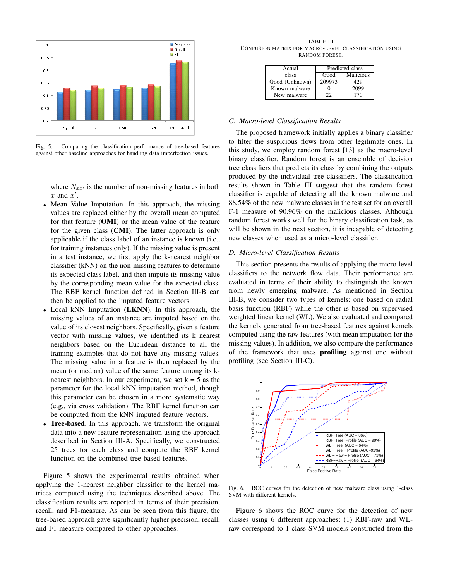

Comparing the classification performance of tree-based features against other baseline approaches for handling data imperfection issues.

where  $N_{xx}$ <sup>*'*</sup> is the number of non-missing features in both *x* and *x ′* .

- Mean Value Imputation. In this approach, the missing values are replaced either by the overall mean computed for that feature (OMI) or the mean value of the feature for the given class (CMI). The latter approach is only applicable if the class label of an instance is known (i.e., for training instances only). If the missing value is present in a test instance, we first apply the k-nearest neighbor classifier (kNN) on the non-missing features to determine its expected class label, and then impute its missing value by the corresponding mean value for the expected class. The RBF kernel function defined in Section III-B can then be applied to the imputed feature vectors.
- *•* Local kNN Imputation (LKNN). In this approach, the missing values of an instance are imputed based on the value of its closest neighbors. Specifically, given a feature vector with missing values, we identified its k nearest neighbors based on the Euclidean distance to all the training examples that do not have any missing values. The missing value in a feature is then replaced by the mean (or median) value of the same feature among its knearest neighbors. In our experiment, we set  $k = 5$  as the parameter for the local kNN imputation method, though this parameter can be chosen in a more systematic way (e.g., via cross validation). The RBF kernel function can be computed from the kNN imputed feature vectors.
- *•* Tree-based. In this approach, we transform the original data into a new feature representation using the approach described in Section III-A. Specifically, we constructed 25 trees for each class and compute the RBF kernel function on the combined tree-based features.

Figure 5 shows the experimental results obtained when applying the 1-nearest neighbor classifier to the kernel matrices computed using the techniques described above. The classification results are reported in terms of their precision, recall, and F1-measure. As can be seen from this figure, the tree-based approach gave significantly higher precision, recall, and F1 measure compared to other approaches.

TABLE III CONFUSION MATRIX FOR MACRO-LEVEL CLASSIFICATION USING RANDOM FOREST.

| Actual         | Predicted class |           |  |
|----------------|-----------------|-----------|--|
| class          | Good            | Malicious |  |
| Good (Unknown) | 209973          | 429       |  |
| Known malware  |                 | 2099      |  |
| New malware    | フフ              | 170       |  |

## *C. Macro-level Classification Results*

The proposed framework initially applies a binary classifier to filter the suspicious flows from other legitimate ones. In this study, we employ random forest [13] as the macro-level binary classifier. Random forest is an ensemble of decision tree classifiers that predicts its class by combining the outputs produced by the individual tree classifiers. The classification results shown in Table III suggest that the random forest classifier is capable of detecting all the known malware and 88.54% of the new malware classes in the test set for an overall F-1 measure of 90.96% on the malicious classes. Although random forest works well for the binary classification task, as will be shown in the next section, it is incapable of detecting new classes when used as a micro-level classifier.

## *D. Micro-level Classification Results*

This section presents the results of applying the micro-level classifiers to the network flow data. Their performance are evaluated in terms of their ability to distinguish the known from newly emerging malware. As mentioned in Section III-B, we consider two types of kernels: one based on radial basis function (RBF) while the other is based on supervised weighted linear kernel (WL). We also evaluated and compared the kernels generated from tree-based features against kernels computed using the raw features (with mean imputation for the missing values). In addition, we also compare the performance of the framework that uses **profiling** against one without profiling (see Section III-C).



Fig. 6. ROC curves for the detection of new malware class using 1-class SVM with different kernels.

Figure 6 shows the ROC curve for the detection of new classes using 6 different approaches: (1) RBF-raw and WLraw correspond to 1-class SVM models constructed from the